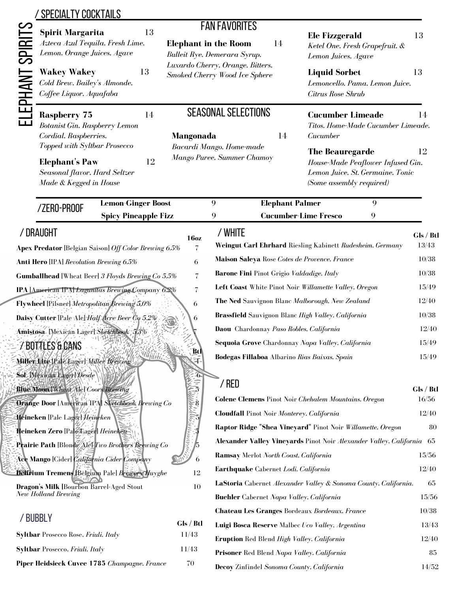| <b>Spirit Margarita</b>                                                                                          | 13 | <b>FAN FAVORITES</b>                                              | <b>Ele Fizzgerald</b><br>13                                                                                                       |  |  |
|------------------------------------------------------------------------------------------------------------------|----|-------------------------------------------------------------------|-----------------------------------------------------------------------------------------------------------------------------------|--|--|
| Azteca Azul Tequila, Fresh Lime,<br>Lemon, Orange Juices, Agave                                                  |    | <b>Elephant in the Room</b><br>14<br>Bulleit Rye, Demerara Syrup, | Ketel One, Fresh Grapefruit, &<br>Lemon Juices, Agave                                                                             |  |  |
| <b>Wakey Wakey</b><br>Cold Brew, Bailey's Almonde,<br>Coffee Liquor, Aquafaba                                    | 13 | Luxardo Cherry, Orange, Bitters,<br>Smoked Cherry Wood Ice Sphere | <b>Liquid Sorbet</b><br>13<br>Lemoncello, Pama, Lemon Juice,<br>Citrus Rose Shrub                                                 |  |  |
| <b>Raspberry 75</b><br>Botanist Gin, Raspberry Lemon<br>Cordial, Raspberries,                                    | 14 | <b>SEASONAL SELECTIONS</b><br><b>Mangonada</b>                    | <b>Cucumber Limeade</b><br>14<br>Titos, Home-Made Cucumber Limeade,<br>Cucumber<br>14                                             |  |  |
| Topped with Syltbar Prosecco<br><b>Elephant's Paw</b><br>Seasonal flavor, Hard Seltzer<br>Made & Kegged in House | 12 | Bacardi Mango, Home-made<br>Mango Puree, Summer Chamoy            | <b>The Beauregarde</b><br>12<br>House-Made Peaflower Infused Gin,<br>Lemon Juice, St. Germaine, Tonic<br>(Some assembly required) |  |  |

| וטטווו טווב                                       | <b>Spicy Pineapple Fizz</b>                              |                          | <b>Cucumber-Lime Fresco</b><br>9<br>9                                 |           |
|---------------------------------------------------|----------------------------------------------------------|--------------------------|-----------------------------------------------------------------------|-----------|
| / DRAUGHT                                         |                                                          | 16 <sub>oz</sub>         | / WHITE                                                               | Gls / Btl |
|                                                   | Apex Predator [Belgian Saison] Off Color Brewing 6.5%    | 7                        | Weingut Carl Ehrhard Riesling Kabinett Rudesheim, Germany             | 13/43     |
| <b>Anti Hero</b> [IPA] Revolution Brewing 6.5%    |                                                          | 6                        | Maison Saleya Rose Cotes de Provence, France                          | 10/38     |
|                                                   | <b>Gumballhead</b> [Wheat Beer] 3 Floyds Brewing Co 5.5% | 7                        | Barone Fini Pinot Grigio Valdadige, Italy                             | 10/38     |
|                                                   | IPA [American IPA] Lagunitas Brewing Company 6.2%        | $\overline{\mathcal{C}}$ | Left Coast White Pinot Noir Willamette Valley, Oregon                 | 15/49     |
| Flywheel [Pilsner] Metropolitan Brewing 5.0%      |                                                          | 6                        | The Ned Sauvignon Blanc Malborough, New Zealand                       | 12/40     |
| Daisy Cutter [Pale Ale] Half Acre Beer Uo 5.2%    |                                                          | 6                        | Brassfield Sauvignon Blanc High Valley, California                    | 10/38     |
| Amistósa [Mexican Lager] Sketchbook 3.3%          |                                                          |                          | Daou Chardonnay Paso Robles, California                               | 12/40     |
| Z BOTAŁES & CANS                                  |                                                          |                          | Sequoia Grove Chardonnay Napa Valley, California                      | 15/49     |
| Miller Wite IP ale Eager] Miller Brewing          | NY 1976                                                  | Btl                      | Bodegas Fillaboa Albarino Rias Baixas, Spain                          | 15/49     |
| Sol Mexican Lager Nesde                           |                                                          | ்கி                      |                                                                       |           |
| <b>Blue Moon Wheat Alel Coors Brewing</b>         |                                                          |                          | $/$ RED                                                               | Gls / Btl |
|                                                   | <b>Orange Door [American IPA] Sketchbook Brewing Co</b>  |                          | <b>Colene Clemens</b> Pinot Noir Chehalem Mountains, Oregon           | 16/56     |
| Heineken [Pale Lager] Heineken                    |                                                          |                          | Cloudfall Pinot Noir Monterey, California                             | 12/40     |
|                                                   |                                                          |                          | Raptor Ridge "Shea Vineyard" Pinot Noir Willamette, Oregon            | 80        |
| Prairie Path [Blonde Alel Two Brothers Brewing Co |                                                          |                          | Alexander Valley Vineyards Pinot Noir Alexander Valley, California 65 |           |
| Ace Mango [Cider] California Cider Company        |                                                          | 6                        | Ramsay Merlot North Coast, California                                 | 15/56     |
| Delirium Tremens Belgium Pale Brewers Huyghe      |                                                          | 12                       | Earthquake Cabernet Lodi, California                                  | 12/40     |
| <b>Dragon's Milk [Bourbon Barrel-Aged Stout</b>   |                                                          | 10                       | LaStoria Cabernet Alexander Valley & Sonoma County, California.       | 65        |
| New Holland Brewing                               |                                                          |                          | <b>Buehler</b> Cabernet Napa Valley, California                       | 15/56     |
|                                                   |                                                          |                          | Chateau Les Granges Bordeaux Bordeaux, France                         | 10/38     |
| <b>BUBBLY</b>                                     |                                                          | Gls / Btl                | Luigi Bosca Reserve Malbec Uco Valley, Argentina                      | 13/43     |

**Eruption** Red Blend *High Valley, California* 12/40 **Prisoner** Red Blend *Napa Valley, California* 85 **Decoy** Zinfindel *Sonoma County, California* 14/52

| , , , , , , , ,                                    | Gls / Btl |
|----------------------------------------------------|-----------|
| <b>Syltbar</b> Prosecco Rose, <i>Friuli, Italy</i> | 11/43     |
| <b>Syltbar</b> Prosecco, <i>Friuli, Italy</i>      | 11/43     |
| Piper Heidsieck Cuvee 1785 Champagne, France       | 70        |